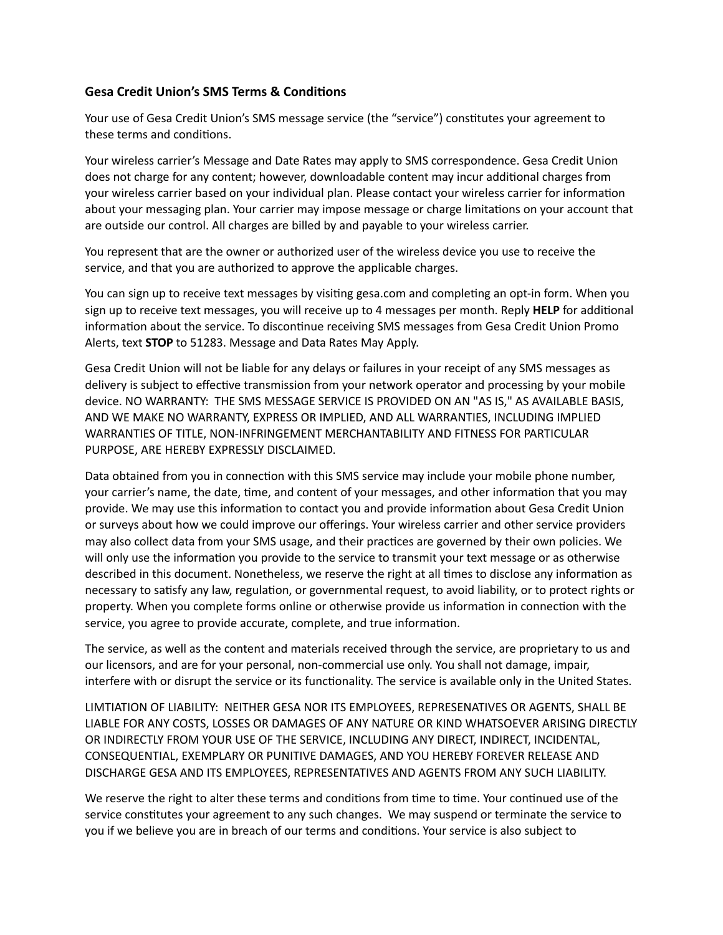## **Gesa Credit Union's SMS Terms & Conditions**

Your use of Gesa Credit Union's SMS message service (the "service") constitutes your agreement to these terms and conditions.

 Your wireless carrier's Message and Date Rates may apply to SMS correspondence. Gesa Credit Union does not charge for any content; however, downloadable content may incur additional charges from your wireless carrier based on your individual plan. Please contact your wireless carrier for information about your messaging plan. Your carrier may impose message or charge limitations on your account that are outside our control. All charges are billed by and payable to your wireless carrier.

 You represent that are the owner or authorized user of the wireless device you use to receive the service, and that you are authorized to approve the applicable charges.

You can sign up to receive text messages by visiting [gesa.com](https://gesa.com) and completing an opt-in form. When you sign up to receive text messages, you will receive up to 4 messages per month. Reply HELP for additional information about the service. To discontinue receiving SMS messages from Gesa Credit Union Promo Alerts, text **STOP** to 51283. Message and Data Rates May Apply.

 Gesa Credit Union will not be liable for any delays or failures in your receipt of any SMS messages as delivery is subject to effective transmission from your network operator and processing by your mobile device. NO WARRANTY: THE SMS MESSAGE SERVICE IS PROVIDED ON AN "AS IS," AS AVAILABLE BASIS, AND WE MAKE NO WARRANTY, EXPRESS OR IMPLIED, AND ALL WARRANTIES, INCLUDING IMPLIED WARRANTIES OF TITLE, NON-INFRINGEMENT MERCHANTABILITY AND FITNESS FOR PARTICULAR PURPOSE, ARE HEREBY EXPRESSLY DISCLAIMED.

Data obtained from you in connection with this SMS service may include your mobile phone number, your carrier's name, the date, time, and content of your messages, and other information that you may provide. We may use this information to contact you and provide information about Gesa Credit Union or surveys about how we could improve our offerings. Your wireless carrier and other service providers may also collect data from your SMS usage, and their practices are governed by their own policies. We will only use the information you provide to the service to transmit your text message or as otherwise described in this document. Nonetheless, we reserve the right at all times to disclose any information as necessary to satisfy any law, regulation, or governmental request, to avoid liability, or to protect rights or property. When you complete forms online or otherwise provide us information in connection with the service, you agree to provide accurate, complete, and true information.

 The service, as well as the content and materials received through the service, are proprietary to us and our licensors, and are for your personal, non-commercial use only. You shall not damage, impair, interfere with or disrupt the service or its functionality. The service is available only in the United States.

 LIMTIATION OF LIABILITY: NEITHER GESA NOR ITS EMPLOYEES, REPRESENATIVES OR AGENTS, SHALL BE LIABLE FOR ANY COSTS, LOSSES OR DAMAGES OF ANY NATURE OR KIND WHATSOEVER ARISING DIRECTLY OR INDIRECTLY FROM YOUR USE OF THE SERVICE, INCLUDING ANY DIRECT, INDIRECT, INCIDENTAL, CONSEQUENTIAL, EXEMPLARY OR PUNITIVE DAMAGES, AND YOU HEREBY FOREVER RELEASE AND DISCHARGE GESA AND ITS EMPLOYEES, REPRESENTATIVES AND AGENTS FROM ANY SUCH LIABILITY.

We reserve the right to alter these terms and conditions from time to time. Your continued use of the service constitutes your agreement to any such changes. We may suspend or terminate the service to you if we believe you are in breach of our terms and conditions. Your service is also subject to